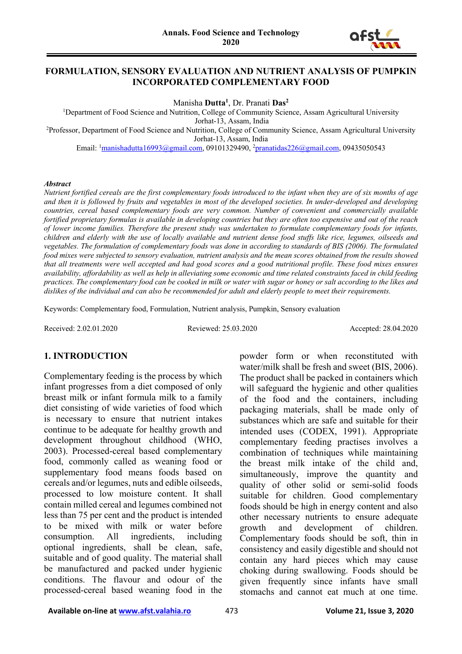#### **FORMULATION, SENSORY EVALUATION AND NUTRIENT ANALYSIS OF PUMPKIN INCORPORATED COMPLEMENTARY FOOD**

Manisha **Dutta1** , Dr. Pranati **Das2**

<sup>1</sup>Department of Food Science and Nutrition, College of Community Science, Assam Agricultural University Jorhat-13, Assam, India

2 Professor, Department of Food Science and Nutrition, College of Community Science, Assam Agricultural University Jorhat-13, Assam, India

Email: <sup>1</sup><u>manishadutta16993@gmail.com</u>, 09101329490, <sup>2</sup><u>pranatidas226@gmail.com</u>, 09435050543

#### *Abstract*

*Nutrient fortified cereals are the first complementary foods introduced to the infant when they are of six months of age and then it is followed by fruits and vegetables in most of the developed societies. In under-developed and developing countries, cereal based complementary foods are very common. Number of convenient and commercially available fortified proprietary formulas is available in developing countries but they are often too expensive and out of the reach of lower income families. Therefore the present study was undertaken to formulate complementary foods for infants, children and elderly with the use of locally available and nutrient dense food stuffs like rice, legumes, oilseeds and vegetables. The formulation of complementary foods was done in according to standards of BIS (2006). The formulated food mixes were subjected to sensory evaluation, nutrient analysis and the mean scores obtained from the results showed that all treatments were well accepted and had good scores and a good nutritional profile. These food mixes ensures availability, affordability as well as help in alleviating some economic and time related constraints faced in child feeding practices. The complementary food can be cooked in milk or water with sugar or honey or salt according to the likes and dislikes of the individual and can also be recommended for adult and elderly people to meet their requirements.*

Keywords: Complementary food, Formulation, Nutrient analysis, Pumpkin, Sensory evaluation

Received: 2.02.01.2020 Reviewed: 25.03.2020 Accepted: 28.04.2020

#### **1. INTRODUCTION**

Complementary feeding is the process by which infant progresses from a diet composed of only breast milk or infant formula milk to a family diet consisting of wide varieties of food which is necessary to ensure that nutrient intakes continue to be adequate for healthy growth and development throughout childhood (WHO, 2003). Processed-cereal based complementary food, commonly called as weaning food or supplementary food means foods based on cereals and/or legumes, nuts and edible oilseeds, processed to low moisture content. It shall contain milled cereal and legumes combined not less than 75 per cent and the product is intended to be mixed with milk or water before consumption. All ingredients, including optional ingredients, shall be clean, safe, suitable and of good quality. The material shall be manufactured and packed under hygienic conditions. The flavour and odour of the processed-cereal based weaning food in the

powder form or when reconstituted with water/milk shall be fresh and sweet (BIS, 2006). The product shall be packed in containers which will safeguard the hygienic and other qualities of the food and the containers, including packaging materials, shall be made only of substances which are safe and suitable for their intended uses (CODEX, 1991). Appropriate complementary feeding practises involves a combination of techniques while maintaining the breast milk intake of the child and, simultaneously, improve the quantity and quality of other solid or semi-solid foods suitable for children. Good complementary foods should be high in energy content and also other necessary nutrients to ensure adequate growth and development of children. Complementary foods should be soft, thin in consistency and easily digestible and should not contain any hard pieces which may cause choking during swallowing. Foods should be given frequently since infants have small stomachs and cannot eat much at one time.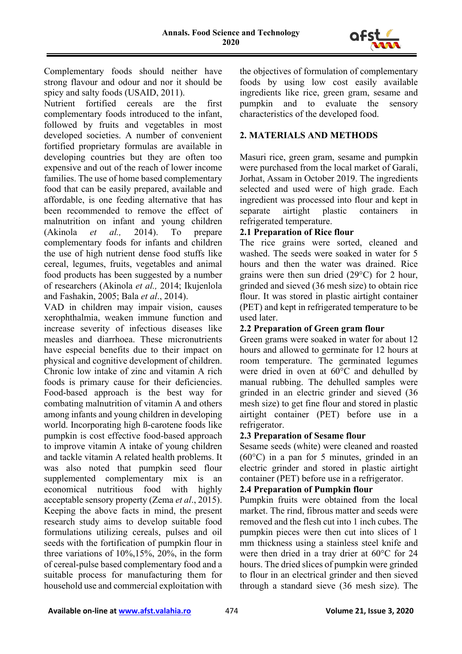

Complementary foods should neither have strong flavour and odour and nor it should be spicy and salty foods (USAID, 2011).

Nutrient fortified cereals are the first complementary foods introduced to the infant, followed by fruits and vegetables in most developed societies. A number of convenient fortified proprietary formulas are available in developing countries but they are often too expensive and out of the reach of lower income families. The use of home based complementary food that can be easily prepared, available and affordable, is one feeding alternative that has been recommended to remove the effect of malnutrition on infant and young children (Akinola *et al.,* 2014). To prepare complementary foods for infants and children the use of high nutrient dense food stuffs like cereal, legumes, fruits, vegetables and animal food products has been suggested by a number of researchers (Akinola *et al.,* 2014; Ikujenlola and Fashakin, 2005; Bala *et al*., 2014).

VAD in children may impair vision, causes xerophthalmia, weaken immune function and increase severity of infectious diseases like measles and diarrhoea. These micronutrients have especial benefits due to their impact on physical and cognitive development of children. Chronic low intake of zinc and vitamin A rich foods is primary cause for their deficiencies. Food-based approach is the best way for combating malnutrition of vitamin A and others among infants and young children in developing world. Incorporating high ß-carotene foods like pumpkin is cost effective food-based approach to improve vitamin A intake of young children and tackle vitamin A related health problems. It was also noted that pumpkin seed flour supplemented complementary mix is an economical nutritious food with highly acceptable sensory property (Zema *et al*., 2015). Keeping the above facts in mind, the present research study aims to develop suitable food formulations utilizing cereals, pulses and oil seeds with the fortification of pumpkin flour in three variations of 10%,15%, 20%, in the form of cereal-pulse based complementary food and a suitable process for manufacturing them for household use and commercial exploitation with

the objectives of formulation of complementary foods by using low cost easily available ingredients like rice, green gram, sesame and pumpkin and to evaluate the sensory characteristics of the developed food.

# **2. MATERIALS AND METHODS**

Masuri rice, green gram, sesame and pumpkin were purchased from the local market of Garali, Jorhat, Assam in October 2019. The ingredients selected and used were of high grade. Each ingredient was processed into flour and kept in separate airtight plastic containers in refrigerated temperature.

### **2.1 Preparation of Rice flour**

The rice grains were sorted, cleaned and washed. The seeds were soaked in water for 5 hours and then the water was drained. Rice grains were then sun dried (29°C) for 2 hour, grinded and sieved (36 mesh size) to obtain rice flour. It was stored in plastic airtight container (PET) and kept in refrigerated temperature to be used later.

### **2.2 Preparation of Green gram flour**

Green grams were soaked in water for about 12 hours and allowed to germinate for 12 hours at room temperature. The germinated legumes were dried in oven at 60°C and dehulled by manual rubbing. The dehulled samples were grinded in an electric grinder and sieved (36 mesh size) to get fine flour and stored in plastic airtight container (PET) before use in a refrigerator.

## **2.3 Preparation of Sesame flour**

Sesame seeds (white) were cleaned and roasted (60°C) in a pan for 5 minutes, grinded in an electric grinder and stored in plastic airtight container (PET) before use in a refrigerator.

## **2.4 Preparation of Pumpkin flour**

Pumpkin fruits were obtained from the local market. The rind, fibrous matter and seeds were removed and the flesh cut into 1 inch cubes. The pumpkin pieces were then cut into slices of 1 mm thickness using a stainless steel knife and were then dried in a tray drier at 60°C for 24 hours. The dried slices of pumpkin were grinded to flour in an electrical grinder and then sieved through a standard sieve (36 mesh size). The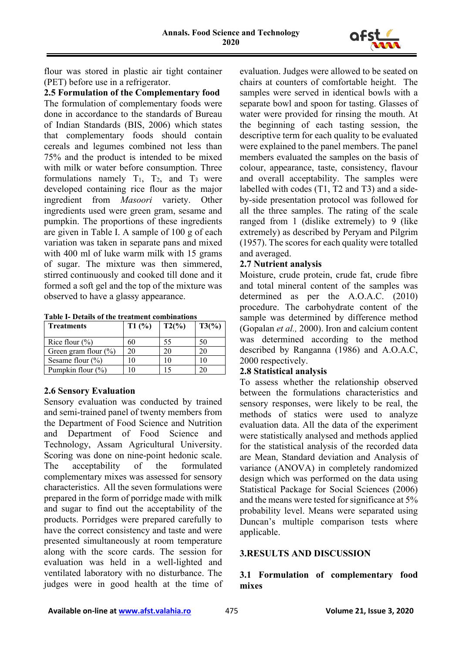

flour was stored in plastic air tight container (PET) before use in a refrigerator.

**2.5 Formulation of the Complementary food** The formulation of complementary foods were done in accordance to the standards of Bureau of Indian Standards (BIS, 2006) which states that complementary foods should contain cereals and legumes combined not less than 75% and the product is intended to be mixed with milk or water before consumption. Three formulations namely  $T_1$ ,  $T_2$ , and  $T_3$  were developed containing rice flour as the major ingredient from *Masoori* variety. Other ingredients used were green gram, sesame and pumpkin. The proportions of these ingredients are given in Table I. A sample of 100 g of each variation was taken in separate pans and mixed with 400 ml of luke warm milk with 15 grams of sugar. The mixture was then simmered, stirred continuously and cooked till done and it formed a soft gel and the top of the mixture was observed to have a glassy appearance.

|  | Table I- Details of the treatment combinations |
|--|------------------------------------------------|
|  |                                                |

| <b>Treatments</b>       | T1(%) | $T2\binom{9}{0}$ | $T3\frac{6}{6}$ |
|-------------------------|-------|------------------|-----------------|
| Rice flour $(\% )$      | 60    | 55               | 50              |
| Green gram flour $(\%)$ | 20    |                  | 20              |
| Sesame flour $(\% )$    | 10    |                  | 10              |
| Pumpkin flour $(\% )$   |       |                  |                 |

#### **2.6 Sensory Evaluation**

Sensory evaluation was conducted by trained and semi-trained panel of twenty members from the Department of Food Science and Nutrition and Department of Food Science and Technology, Assam Agricultural University. Scoring was done on nine-point hedonic scale. The acceptability of the formulated complementary mixes was assessed for sensory characteristics. All the seven formulations were prepared in the form of porridge made with milk and sugar to find out the acceptability of the products. Porridges were prepared carefully to have the correct consistency and taste and were presented simultaneously at room temperature along with the score cards. The session for evaluation was held in a well-lighted and ventilated laboratory with no disturbance. The judges were in good health at the time of

evaluation. Judges were allowed to be seated on chairs at counters of comfortable height. The samples were served in identical bowls with a separate bowl and spoon for tasting. Glasses of water were provided for rinsing the mouth. At the beginning of each tasting session, the descriptive term for each quality to be evaluated were explained to the panel members. The panel members evaluated the samples on the basis of colour, appearance, taste, consistency, flavour and overall acceptability. The samples were labelled with codes (T1, T2 and T3) and a sideby-side presentation protocol was followed for all the three samples. The rating of the scale ranged from 1 (dislike extremely) to 9 (like extremely) as described by Peryam and Pilgrim (1957). The scores for each quality were totalled and averaged.

#### **2.7 Nutrient analysis**

Moisture, crude protein, crude fat, crude fibre and total mineral content of the samples was determined as per the A.O.A.C. (2010) procedure. The carbohydrate content of the sample was determined by difference method (Gopalan *et al.,* 2000). Iron and calcium content was determined according to the method described by Ranganna (1986) and A.O.A.C, 2000 respectively.

#### **2.8 Statistical analysis**

To assess whether the relationship observed between the formulations characteristics and sensory responses, were likely to be real, the methods of statics were used to analyze evaluation data. All the data of the experiment were statistically analysed and methods applied for the statistical analysis of the recorded data are Mean, Standard deviation and Analysis of variance (ANOVA) in completely randomized design which was performed on the data using Statistical Package for Social Sciences (2006) and the means were tested for significance at 5% probability level. Means were separated using Duncan's multiple comparison tests where applicable.

## **3.RESULTS AND DISCUSSION**

**3.1 Formulation of complementary food mixes**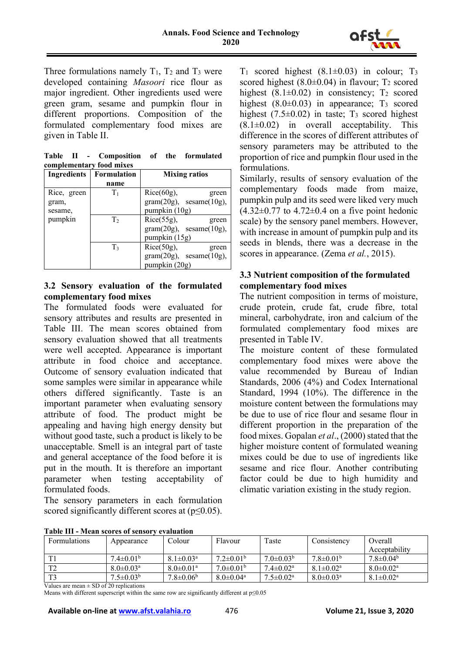

Three formulations namely  $T_1$ ,  $T_2$  and  $T_3$  were developed containing *Masoori* rice flour as major ingredient. Other ingredients used were green gram, sesame and pumpkin flour in different proportions. Composition of the formulated complementary food mixes are given in Table II.

|  | Table II - Composition of the formulated |  |  |
|--|------------------------------------------|--|--|
|  | complementary food mixes                 |  |  |
|  |                                          |  |  |

| <b>Ingredients</b> | Formulation    | <b>Mixing ratios</b>           |
|--------------------|----------------|--------------------------------|
|                    | name           |                                |
| Rice, green        | $T_1$          | $Rice(60g)$ ,<br>green         |
| gram,              |                | $gram(20g)$ , sesame $(10g)$ , |
| sesame,            |                | pumpkin (10g)                  |
| pumpkin            | T <sub>2</sub> | $Rice(55g)$ ,<br>green         |
|                    |                | $gram(20g)$ , sesame $(10g)$ , |
|                    |                | pumpkin (15g)                  |
|                    | T <sub>3</sub> | $Rice(50g)$ ,<br>green         |
|                    |                | $gram(20g)$ , sesame $(10g)$ , |
|                    |                | pumpkin (20g)                  |

#### **3.2 Sensory evaluation of the formulated complementary food mixes**

The formulated foods were evaluated for sensory attributes and results are presented in Table III. The mean scores obtained from sensory evaluation showed that all treatments were well accepted. Appearance is important attribute in food choice and acceptance. Outcome of sensory evaluation indicated that some samples were similar in appearance while others differed significantly. Taste is an important parameter when evaluating sensory attribute of food. The product might be appealing and having high energy density but without good taste, such a product is likely to be unacceptable. Smell is an integral part of taste and general acceptance of the food before it is put in the mouth. It is therefore an important parameter when testing acceptability of formulated foods.

The sensory parameters in each formulation scored significantly different scores at  $(p \le 0.05)$ .

 $T_1$  scored highest (8.1 $\pm$ 0.03) in colour;  $T_3$ scored highest  $(8.0\pm0.04)$  in flavour; T<sub>2</sub> scored highest  $(8.1\pm0.02)$  in consistency; T<sub>2</sub> scored highest  $(8.0\pm0.03)$  in appearance; T<sub>3</sub> scored highest  $(7.5\pm0.02)$  in taste; T<sub>3</sub> scored highest  $(8.1\pm0.02)$  in overall acceptability. This difference in the scores of different attributes of sensory parameters may be attributed to the proportion of rice and pumpkin flour used in the formulations.

Similarly, results of sensory evaluation of the complementary foods made from maize, pumpkin pulp and its seed were liked very much  $(4.32\pm0.77)$  to  $4.72\pm0.4$  on a five point hedonic scale) by the sensory panel members. However, with increase in amount of pumpkin pulp and its seeds in blends, there was a decrease in the scores in appearance. (Zema *et al.*, 2015).

## **3.3 Nutrient composition of the formulated complementary food mixes**

The nutrient composition in terms of moisture, crude protein, crude fat, crude fibre, total mineral, carbohydrate, iron and calcium of the formulated complementary food mixes are presented in Table IV.

The moisture content of these formulated complementary food mixes were above the value recommended by Bureau of Indian Standards, 2006 (4%) and Codex International Standard, 1994 (10%). The difference in the moisture content between the formulations may be due to use of rice flour and sesame flour in different proportion in the preparation of the food mixes. Gopalan *et al*., (2000) stated that the higher moisture content of formulated weaning mixes could be due to use of ingredients like sesame and rice flour. Another contributing factor could be due to high humidity and climatic variation existing in the study region.

| <b>Formulations</b> | Appearance                  | Colour                      | Flavour                     | Taste                     | Consistency                 | Overall                   |
|---------------------|-----------------------------|-----------------------------|-----------------------------|---------------------------|-----------------------------|---------------------------|
|                     |                             |                             |                             |                           |                             | Acceptability             |
|                     | $7.4 \pm 0.01^{\circ}$      | $8.1 \pm 0.03$ <sup>a</sup> | $7.2 \pm 0.01^{\circ}$      | $7.0 \pm 0.03^b$          | $7.8 \pm 0.01^{\circ}$      | $7.8 \pm 0.04^b$          |
| T <sup>2</sup>      | $8.0 \pm 0.03$ <sup>a</sup> | $8.0 \pm 0.01$ <sup>a</sup> | $7.0\pm0.01b$               | $7.4 \pm 0.02^{\text{a}}$ | $8.1 \pm 0.02^{\text{a}}$   | $8.0 \pm 0.02^{\text{a}}$ |
| T <sub>3</sub>      | $7.5 \pm 0.03^b$            | $7.8 \pm 0.06^b$            | $8.0 \pm 0.04$ <sup>a</sup> | $7.5 \pm 0.02^{\text{a}}$ | $8.0 \pm 0.03$ <sup>a</sup> | $8.1 \pm 0.02^{\text{a}}$ |

**Table III - Mean scores of sensory evaluation**

Values are mean  $\pm$  SD of 20 replications

Means with different superscript within the same row are significantly different at  $p \le 0.05$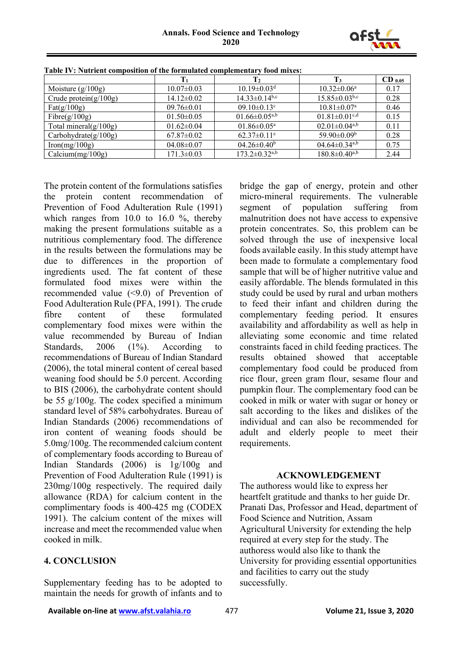

|                          | $\mathbf{T}_1$   | $\mathbf{T}_2$                  | $\mathbf{T}_3$                  | $CD$ 0.05 |
|--------------------------|------------------|---------------------------------|---------------------------------|-----------|
| Moisture $(g/100g)$      | $10.07 \pm 0.03$ | $10.19 \pm 0.03$ <sup>d</sup>   | $10.32 \pm 0.06^{\text{a}}$     | 0.17      |
| Crude protein $(g/100g)$ | $14.12 \pm 0.02$ | $14.33 \pm 0.14$ <sup>b,c</sup> | $15.85 \pm 0.03$ <sub>b,c</sub> | 0.28      |
| $\text{Fat}(g/100g)$     | $09.76 \pm 0.01$ | $09.10 \pm 0.13$ <sup>c</sup>   | $10.81 \pm 0.07^{\text{a}}$     | 0.46      |
| Fibre $(g/100g)$         | $01.50 \pm 0.05$ | $01.66 \pm 0.05^{\rm a,b}$      | $01.81 \pm 0.01$ <sup>c,d</sup> | 0.15      |
| Total mineral $(g/100g)$ | $01.62 \pm 0.04$ | $01.86 \pm 0.05^{\text{a}}$     | $02.01 \pm 0.04$ <sup>a,b</sup> | 0.11      |
| Carbohydrate $(g/100g)$  | $67.87 \pm 0.02$ | $62.37 \pm 0.11$ <sup>e</sup>   | 59.90 $\pm$ 0.09 <sup>b</sup>   | 0.28      |
| Iron(mg/100g)            | $04.08 \pm 0.07$ | $04.26 \pm 0.40^b$              | $04.64 \pm 0.34$ <sup>a,b</sup> | 0.75      |
| Calcium(mg/100g)         | $171.3 \pm 0.03$ | $173.2 \pm 0.32$ <sup>a,b</sup> | $180.8 \pm 0.40^{a,b}$          | 2.44      |

**Table IV: Nutrient composition of the formulated complementary food mixes:**

The protein content of the formulations satisfies the protein content recommendation of Prevention of Food Adulteration Rule (1991) which ranges from 10.0 to 16.0 %, thereby making the present formulations suitable as a nutritious complementary food. The difference in the results between the formulations may be due to differences in the proportion of ingredients used. The fat content of these formulated food mixes were within the recommended value (<9.0) of Prevention of Food Adulteration Rule (PFA, 1991). The crude fibre content of these formulated complementary food mixes were within the value recommended by Bureau of Indian Standards, 2006 (1%). According to recommendations of Bureau of Indian Standard (2006), the total mineral content of cereal based weaning food should be 5.0 percent. According to BIS (2006), the carbohydrate content should be 55 g/100g. The codex specified a minimum standard level of 58% carbohydrates. Bureau of Indian Standards (2006) recommendations of iron content of weaning foods should be 5.0mg/100g. The recommended calcium content of complementary foods according to Bureau of Indian Standards (2006) is 1g/100g and Prevention of Food Adulteration Rule (1991) is 230mg/100g respectively. The required daily allowance (RDA) for calcium content in the complimentary foods is 400-425 mg (CODEX 1991). The calcium content of the mixes will increase and meet the recommended value when cooked in milk.

### **4. CONCLUSION**

Supplementary feeding has to be adopted to maintain the needs for growth of infants and to

bridge the gap of energy, protein and other micro-mineral requirements. The vulnerable segment of population suffering from malnutrition does not have access to expensive protein concentrates. So, this problem can be solved through the use of inexpensive local foods available easily. In this study attempt have been made to formulate a complementary food sample that will be of higher nutritive value and easily affordable. The blends formulated in this study could be used by rural and urban mothers to feed their infant and children during the complementary feeding period. It ensures availability and affordability as well as help in alleviating some economic and time related constraints faced in child feeding practices. The results obtained showed that acceptable complementary food could be produced from rice flour, green gram flour, sesame flour and pumpkin flour. The complementary food can be cooked in milk or water with sugar or honey or salt according to the likes and dislikes of the individual and can also be recommended for adult and elderly people to meet their requirements.

#### **ACKNOWLEDGEMENT**

The authoress would like to express her heartfelt gratitude and thanks to her guide Dr. Pranati Das, Professor and Head, department of Food Science and Nutrition, Assam Agricultural University for extending the help required at every step for the study. The authoress would also like to thank the University for providing essential opportunities and facilities to carry out the study successfully.